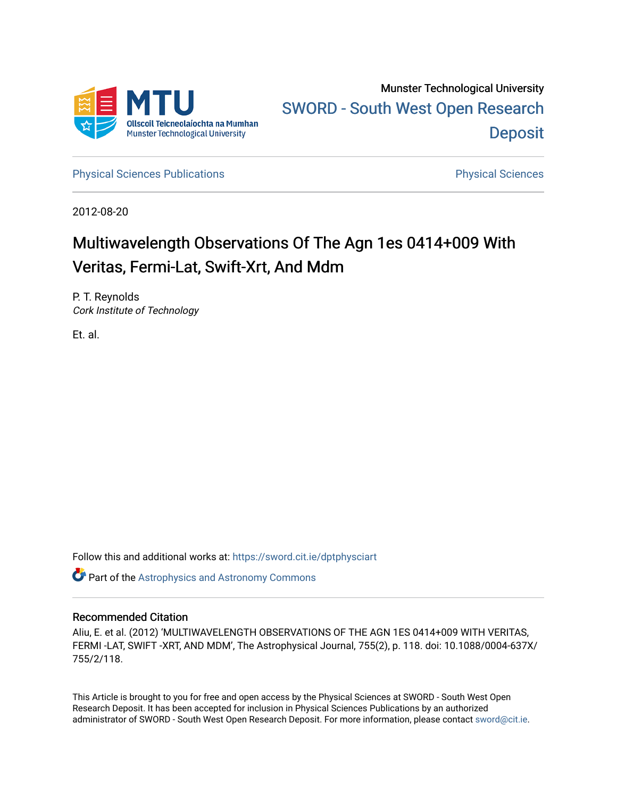

[Physical Sciences Publications](https://sword.cit.ie/dptphysciart) **Physical Sciences** Physical Sciences

2012-08-20

# Multiwavelength Observations Of The Agn 1es 0414+009 With Veritas, Fermi-Lat, Swift-Xrt, And Mdm

P. T. Reynolds Cork Institute of Technology

Et. al.

Follow this and additional works at: [https://sword.cit.ie/dptphysciart](https://sword.cit.ie/dptphysciart?utm_source=sword.cit.ie%2Fdptphysciart%2F72&utm_medium=PDF&utm_campaign=PDFCoverPages)

Part of the [Astrophysics and Astronomy Commons](http://network.bepress.com/hgg/discipline/123?utm_source=sword.cit.ie%2Fdptphysciart%2F72&utm_medium=PDF&utm_campaign=PDFCoverPages) 

# Recommended Citation

Aliu, E. et al. (2012) 'MULTIWAVELENGTH OBSERVATIONS OF THE AGN 1ES 0414+009 WITH VERITAS, FERMI -LAT, SWIFT -XRT, AND MDM', The Astrophysical Journal, 755(2), p. 118. doi: 10.1088/0004-637X/ 755/2/118.

This Article is brought to you for free and open access by the Physical Sciences at SWORD - South West Open Research Deposit. It has been accepted for inclusion in Physical Sciences Publications by an authorized administrator of SWORD - South West Open Research Deposit. For more information, please contact [sword@cit.ie.](mailto:sword@cit.ie)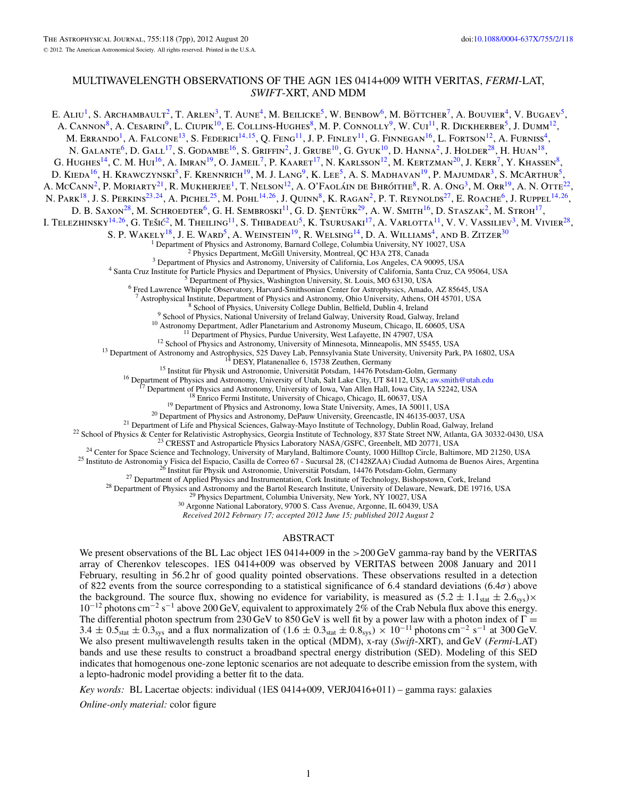## MULTIWAVELENGTH OBSERVATIONS OF THE AGN 1ES 0414+009 WITH VERITAS, *FERMI*-LAT, *SWIFT*-XRT, AND MDM

E. ALIU<sup>1</sup>, S. Archambault<sup>2</sup>, T. Arlen<sup>3</sup>, T. Aune<sup>4</sup>, M. Beilicke<sup>5</sup>, W. Benbow<sup>6</sup>, M. Böttcher<sup>7</sup>, A. Bouvier<sup>4</sup>, V. Bugaev<sup>5</sup>, A. Cannon<sup>8</sup>, A. Cesarini<sup>9</sup>, L. Ciupik<sup>10</sup>, E. Collins-Hughes<sup>8</sup>, M. P. Connolly<sup>9</sup>, W. Cui<sup>11</sup>, R. Dickherber<sup>5</sup>, J. Dumm<sup>12</sup>, M. Errando<sup>1</sup>, A. Falcone<sup>13</sup>, S. Federici<sup>14,15</sup>, Q. Feng<sup>11</sup>, J. P. Finley<sup>11</sup>, G. Finnegan<sup>16</sup>, L. Fortson<sup>12</sup>, A. Furniss<sup>4</sup>, N. GALANTE<sup>6</sup>, D. GALL<sup>17</sup>, S. GODAMBE<sup>16</sup>, S. GRIFFIN<sup>2</sup>, J. GRUBE<sup>10</sup>, G. GYUK<sup>10</sup>, D. HANNA<sup>2</sup>, J. HOLDER<sup>28</sup>, H. HUAN<sup>18</sup>, G. HUGHES<sup>14</sup>, C. M. HUI<sup>16</sup>, A. Imran<sup>19</sup>, O. Jameil<sup>7</sup>, P. Kaaret<sup>17</sup>, N. Karlsson<sup>12</sup>, M. Kertzman<sup>20</sup>, J. Kerr<sup>7</sup>, Y. Khassen<sup>8</sup>, D. KIEDA<sup>16</sup>, H. KRAWCZYNSKI<sup>5</sup>, F. KRENNRICH<sup>19</sup>, M. J. LANG<sup>9</sup>, K. LEE<sup>5</sup>, A. S. MADHAVAN<sup>19</sup>, P. MAJUMDAR<sup>3</sup>, S. MCARTHUR<sup>5</sup>, A. McCann<sup>2</sup>, P. Moriarty<sup>21</sup>, R. Mukherjee<sup>1</sup>, T. Nelson<sup>12</sup>, A. O'Faoláin de Bhróithe<sup>8</sup>, R. A. Ong<sup>3</sup>, M. Orr<sup>19</sup>, A. N. Otte<sup>22</sup>, N. Park18, J. S. Perkins23*,*24, A. Pichel25, M. Pohl14*,*26, J. Quinn8, K. Ragan2, P. T. Reynolds27, E. Roache6, J. Ruppel14*,*26, D. B. SAXON<sup>28</sup>, M. SCHROEDTER<sup>6</sup>, G. H. SEMBROSKI<sup>11</sup>, G. D. ŞENTÜRK<sup>29</sup>, A. W. SMITH<sup>16</sup>, D. STASZAK<sup>2</sup>, M. STROH<sup>17</sup>, I. Telezhinsky<sup>14,26</sup>, G. Tešić<sup>2</sup>, M. Theiling<sup>11</sup>, S. Thibadeau<sup>5</sup>, K. Tsurusaki<sup>17</sup>, A. Varlotta<sup>11</sup>, V. V. Vassiliev<sup>3</sup>, M. Vivier<sup>28</sup>, S. P. WAKELY<sup>18</sup>, J. E. WARD<sup>5</sup>, A. WEINSTEIN<sup>19</sup>, R. WELSING<sup>14</sup>, D. A. WILLIAMS<sup>4</sup>, AND B. ZITZER<sup>30</sup><sup>1</sup> Department of Physics and Astronomy, Barnard College, Columbia University, NY 10027, USA <sup>2</sup> Physics Department, McGill University, Montreal, QC H3A 2T8, Canada<br><sup>3</sup> Department of Physics and Astronomy, University of California, Los Angeles, CA 90095, USA<br><sup>4</sup> Santa Cruz Institute for Particle Physics and Depart <sup>7</sup> Astrophysical Institute, Department of Physics, University College Dublin, Belfield, Dublin 4, Ireland<br>
<sup>9</sup> School of Physics, National University of Ireland Galway, University Road, Galway, Ireland<br>
<sup>9</sup> School of Phy

*Received 2012 February 17; accepted 2012 June 15; published 2012 August 2*

## ABSTRACT

We present observations of the BL Lac object 1ES 0414+009 in the *>*200 GeV gamma-ray band by the VERITAS array of Cherenkov telescopes. 1ES 0414+009 was observed by VERITAS between 2008 January and 2011 February, resulting in 56.2 hr of good quality pointed observations. These observations resulted in a detection of 822 events from the source corresponding to a statistical significance of 6.4 standard deviations (6.4*σ*) above the background. The source flux, showing no evidence for variability, is measured as  $(5.2 \pm 1.1<sub>stat</sub> \pm 2.6<sub>sys</sub>)\times$ 10−<sup>12</sup> photons cm−<sup>2</sup> s−<sup>1</sup> above 200 GeV, equivalent to approximately 2% of the Crab Nebula flux above this energy. The differential photon spectrum from 230 GeV to 850 GeV is well fit by a power law with a photon index of  $\Gamma$  = 3.4  $\pm$  0.5<sub>stat</sub>  $\pm$  0.3<sub>sys</sub> and a flux normalization of (1.6  $\pm$  0.3<sub>stat</sub>  $\pm$  0.8<sub>sys</sub>) × 10<sup>-11</sup> photons cm<sup>-2</sup> s<sup>-1</sup> at 300 GeV. We also present multiwavelength results taken in the optical (MDM), x-ray (*Swift*-XRT), and GeV (*Fermi*-LAT) bands and use these results to construct a broadband spectral energy distribution (SED). Modeling of this SED indicates that homogenous one-zone leptonic scenarios are not adequate to describe emission from the system, with a lepto-hadronic model providing a better fit to the data.

*Key words:* BL Lacertae objects: individual (1ES 0414+009, VERJ0416+011) – gamma rays: galaxies

*Online-only material:* color figure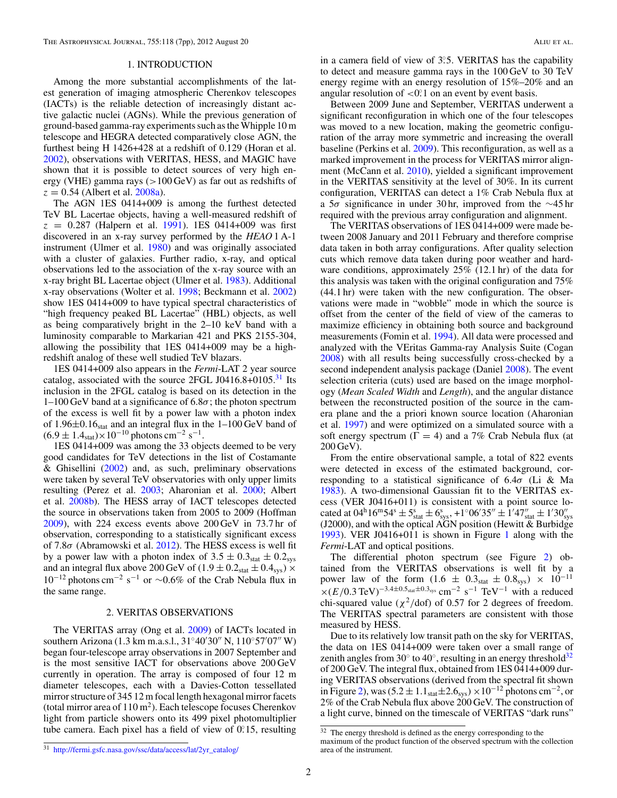#### 1. INTRODUCTION

Among the more substantial accomplishments of the latest generation of imaging atmospheric Cherenkov telescopes (IACTs) is the reliable detection of increasingly distant active galactic nuclei (AGNs). While the previous generation of ground-based gamma-ray experiments such as theWhipple 10 m telescope and HEGRA detected comparatively close AGN, the furthest being H 1426+428 at a redshift of 0.129 (Horan et al. [2002\)](#page-7-0), observations with VERITAS, HESS, and MAGIC have shown that it is possible to detect sources of very high energy (VHE) gamma rays (*>*100 GeV) as far out as redshifts of  $z = 0.54$  (Albert et al. [2008a\)](#page-7-0).

The AGN 1ES 0414+009 is among the furthest detected TeV BL Lacertae objects, having a well-measured redshift of  $z = 0.287$  (Halpern et al. [1991\)](#page-7-0). 1ES 0414+009 was first discovered in an x-ray survey performed by the *HEAO* 1 A-1 instrument (Ulmer et al. [1980\)](#page-7-0) and was originally associated with a cluster of galaxies. Further radio, x-ray, and optical observations led to the association of the x-ray source with an x-ray bright BL Lacertae object (Ulmer et al. [1983\)](#page-7-0). Additional x-ray observations (Wolter et al. [1998;](#page-7-0) Beckmann et al. [2002\)](#page-7-0) show 1ES 0414+009 to have typical spectral characteristics of "high frequency peaked BL Lacertae" (HBL) objects, as well as being comparatively bright in the 2–10 keV band with a luminosity comparable to Markarian 421 and PKS 2155-304, allowing the possibility that 1ES 0414+009 may be a highredshift analog of these well studied TeV blazars.

1ES 0414+009 also appears in the *Fermi*-LAT 2 year source catalog, associated with the source 2FGL J0416.8+0105. $31$  Its inclusion in the 2FGL catalog is based on its detection in the 1–100 GeV band at a significance of 6.8*σ*; the photon spectrum of the excess is well fit by a power law with a photon index of  $1.96 \pm 0.16$ <sub>stat</sub> and an integral flux in the  $1-100$  GeV band of  $(6.9 \pm 1.4<sub>stat</sub>) \times 10<sup>-10</sup>$  photons cm<sup>-2</sup> s<sup>-1</sup>.

1ES 0414+009 was among the 33 objects deemed to be very good candidates for TeV detections in the list of Costamante & Ghisellini [\(2002\)](#page-7-0) and, as such, preliminary observations were taken by several TeV observatories with only upper limits resulting (Perez et al. [2003;](#page-7-0) Aharonian et al. [2000;](#page-7-0) Albert et al. [2008b\)](#page-7-0). The HESS array of IACT telescopes detected the source in observations taken from 2005 to 2009 (Hoffman [2009\)](#page-7-0), with 224 excess events above 200 GeV in 73.7 hr of observation, corresponding to a statistically significant excess of 7.8*σ* (Abramowski et al. [2012\)](#page-7-0). The HESS excess is well fit by a power law with a photon index of  $3.5 \pm 0.3$ <sub>stat</sub>  $\pm 0.2$ <sub>sys</sub> and an integral flux above 200 GeV of  $(1.9 \pm 0.2<sub>stat</sub> \pm 0.4<sub>sys</sub>) \times$  $10^{-12}$  photons cm<sup>-2</sup> s<sup>-1</sup> or ~0.6% of the Crab Nebula flux in the same range.

#### 2. VERITAS OBSERVATIONS

The VERITAS array (Ong et al. [2009\)](#page-7-0) of IACTs located in southern Arizona (1.3 km m.a.s.l., 31°40′30″ N, 110°57′07″ W) began four-telescope array observations in 2007 September and is the most sensitive IACT for observations above 200 GeV currently in operation. The array is composed of four 12 m diameter telescopes, each with a Davies-Cotton tessellated mirror structure of 345 12 m focal length hexagonal mirror facets (total mirror area of  $110 \text{ m}^2$ ). Each telescope focuses Cherenkov light from particle showers onto its 499 pixel photomultiplier tube camera. Each pixel has a field of view of 0.<sup>o</sup>.15, resulting

in a camera field of view of 3°.5. VERITAS has the capability to detect and measure gamma rays in the 100 GeV to 30 TeV energy regime with an energy resolution of 15%–20% and an angular resolution of *<*0*.* ◦1 on an event by event basis.

Between 2009 June and September, VERITAS underwent a significant reconfiguration in which one of the four telescopes was moved to a new location, making the geometric configuration of the array more symmetric and increasing the overall baseline (Perkins et al. [2009\)](#page-7-0). This reconfiguration, as well as a marked improvement in the process for VERITAS mirror alignment (McCann et al. [2010\)](#page-7-0), yielded a significant improvement in the VERITAS sensitivity at the level of 30%. In its current configuration, VERITAS can detect a 1% Crab Nebula flux at a 5*σ* significance in under 30 hr, improved from the ∼45 hr required with the previous array configuration and alignment.

The VERITAS observations of 1ES 0414+009 were made between 2008 January and 2011 February and therefore comprise data taken in both array configurations. After quality selection cuts which remove data taken during poor weather and hardware conditions, approximately 25% (12.1 hr) of the data for this analysis was taken with the original configuration and 75% (44.1 hr) were taken with the new configuration. The observations were made in "wobble" mode in which the source is offset from the center of the field of view of the cameras to maximize efficiency in obtaining both source and background measurements (Fomin et al. [1994\)](#page-7-0). All data were processed and analyzed with the VEritas Gamma-ray Analysis Suite (Cogan [2008\)](#page-7-0) with all results being successfully cross-checked by a second independent analysis package (Daniel [2008\)](#page-7-0). The event selection criteria (cuts) used are based on the image morphology (*Mean Scaled Width* and *Length*), and the angular distance between the reconstructed position of the source in the camera plane and the a priori known source location (Aharonian et al. [1997\)](#page-7-0) and were optimized on a simulated source with a soft energy spectrum ( $\Gamma = 4$ ) and a 7% Crab Nebula flux (at 200 GeV).

From the entire observational sample, a total of 822 events were detected in excess of the estimated background, corresponding to a statistical significance of 6.4*σ* (Li & Ma [1983\)](#page-7-0). A two-dimensional Gaussian fit to the VERITAS excess (VER J0416+011) is consistent with a point source located at  $04^h 16^m 54^s \pm 5^s$   $\pm 6^s$   $\pm 1°06' 35'' \pm 1'47''$  stat  $\pm 1'30''$  sys (J2000), and with the optical AGN position (Hewitt & Burbidge [1993\)](#page-7-0). VER J0416+011 is shown in Figure [1](#page-3-0) along with the *Fermi*-LAT and optical positions.

The differential photon spectrum (see Figure [2\)](#page-3-0) obtained from the VERITAS observations is well fit by a power law of the form  $(1.6 \pm 0.3<sub>stat</sub> \pm 0.8<sub>sys</sub>) \times 10<sup>-11</sup>$  $\times$ (*E*/0.3 TeV)<sup>-3.4±0.5<sub>stat</sub>±0.3<sub>sys</sub> cm<sup>-2</sup> s<sup>-1</sup> TeV<sup>-1</sup> with a reduced</sup> chi-squared value ( $\chi^2$ /dof) of 0.57 for 2 degrees of freedom. The VERITAS spectral parameters are consistent with those measured by HESS.

Due to its relatively low transit path on the sky for VERITAS, the data on 1ES 0414+009 were taken over a small range of zenith angles from 30 $\degree$  to 40 $\degree$ , resulting in an energy threshold<sup>32</sup> of 200 GeV. The integral flux, obtained from 1ES 0414+009 during VERITAS observations (derived from the spectral fit shown in Figure [2\)](#page-3-0), was (5.2  $\pm$  1.1stat $\pm$ 2.6sys) ×10<sup>-12</sup> photons cm<sup>-2</sup>, or 2% of the Crab Nebula flux above 200 GeV. The construction of a light curve, binned on the timescale of VERITAS "dark runs"

<sup>&</sup>lt;sup>32</sup> The energy threshold is defined as the energy corresponding to the maximum of the product function of the observed spectrum with the collection area of the instrument.

<sup>31</sup> [http://fermi.gsfc.nasa.gov/ssc/data/access/lat/2yr\\_catalog/](http://fermi.gsfc.nasa.gov/ssc/data/access/lat/2yr_catalog/)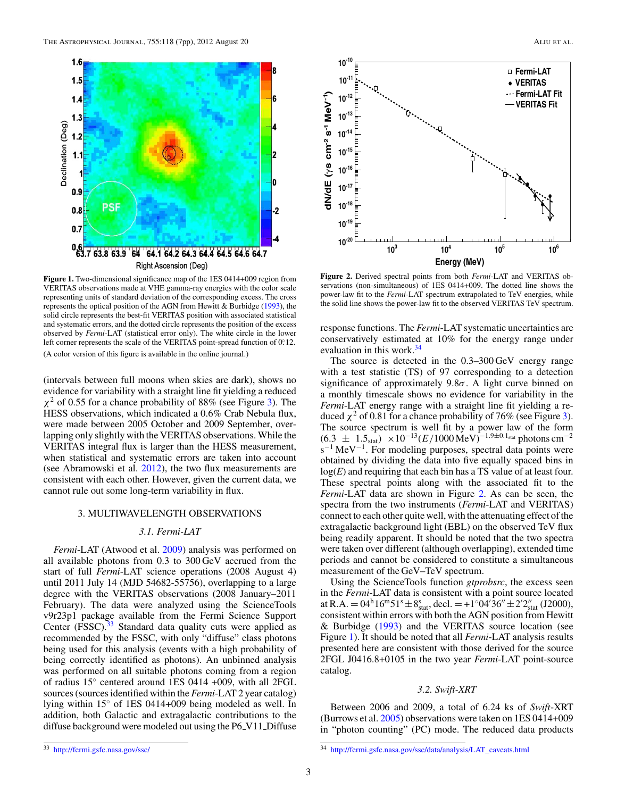<span id="page-3-0"></span>

**Figure 1.** Two-dimensional significance map of the 1ES 0414+009 region from VERITAS observations made at VHE gamma-ray energies with the color scale representing units of standard deviation of the corresponding excess. The cross represents the optical position of the AGN from Hewitt  $&$  Burbidge [\(1993\)](#page-7-0), the solid circle represents the best-fit VERITAS position with associated statistical and systematic errors, and the dotted circle represents the position of the excess observed by *Fermi*-LAT (statistical error only). The white circle in the lower left corner represents the scale of the VERITAS point-spread function of 0. 12. (A color version of this figure is available in the online journal.)

(intervals between full moons when skies are dark), shows no evidence for variability with a straight line fit yielding a reduced *χ*<sup>2</sup> of 0.55 for a chance probability of 88% (see Figure [3\)](#page-4-0). The HESS observations, which indicated a 0.6% Crab Nebula flux, were made between 2005 October and 2009 September, overlapping only slightly with the VERITAS observations. While the VERITAS integral flux is larger than the HESS measurement, when statistical and systematic errors are taken into account (see Abramowski et al. [2012\)](#page-7-0), the two flux measurements are consistent with each other. However, given the current data, we cannot rule out some long-term variability in flux.

#### 3. MULTIWAVELENGTH OBSERVATIONS

### *3.1. Fermi-LAT*

*Fermi*-LAT (Atwood et al. [2009\)](#page-7-0) analysis was performed on all available photons from 0.3 to 300 GeV accrued from the start of full *Fermi*-LAT science operations (2008 August 4) until 2011 July 14 (MJD 54682-55756), overlapping to a large degree with the VERITAS observations (2008 January–2011 February). The data were analyzed using the ScienceTools v9r23p1 package available from the Fermi Science Support Center (FSSC).<sup>33</sup> Standard data quality cuts were applied as recommended by the FSSC, with only "diffuse" class photons being used for this analysis (events with a high probability of being correctly identified as photons). An unbinned analysis was performed on all suitable photons coming from a region of radius 15◦ centered around 1ES 0414 +009, with all 2FGL sources (sources identified within the *Fermi*-LAT 2 year catalog) lying within 15◦ of 1ES 0414+009 being modeled as well. In addition, both Galactic and extragalactic contributions to the diffuse background were modeled out using the P6\_V11\_Diffuse



**Figure 2.** Derived spectral points from both *Fermi*-LAT and VERITAS observations (non-simultaneous) of 1ES 0414+009. The dotted line shows the power-law fit to the *Fermi*-LAT spectrum extrapolated to TeV energies, while the solid line shows the power-law fit to the observed VERITAS TeV spectrum.

response functions. The *Fermi*-LAT systematic uncertainties are conservatively estimated at 10% for the energy range under evaluation in this work.<sup>34</sup>

The source is detected in the 0.3–300 GeV energy range with a test statistic (TS) of 97 corresponding to a detection significance of approximately 9.8*σ*. A light curve binned on a monthly timescale shows no evidence for variability in the *Fermi*-LAT energy range with a straight line fit yielding a reduced  $\chi^2$  of 0.81 for a chance probability of 76% (see Figure [3\)](#page-4-0). The source spectrum is well fit by a power law of the form  $(6.3 \pm 1.5)$   $\times 10^{-13} (E/1000 \text{MeV})^{-1.9 \pm 0.1}$ stat photons cm<sup>-2</sup> s<sup>-1</sup> MeV<sup>-1</sup>. For modeling purposes, spectral data points were obtained by dividing the data into five equally spaced bins in log(*E*) and requiring that each bin has a TS value of at least four. These spectral points along with the associated fit to the *Fermi*-LAT data are shown in Figure 2. As can be seen, the spectra from the two instruments (*Fermi*-LAT and VERITAS) connect to each other quite well, with the attenuating effect of the extragalactic background light (EBL) on the observed TeV flux being readily apparent. It should be noted that the two spectra were taken over different (although overlapping), extended time periods and cannot be considered to constitute a simultaneous measurement of the GeV–TeV spectrum.

Using the ScienceTools function *gtprobsrc*, the excess seen in the *Fermi*-LAT data is consistent with a point source located at R.A. =  $04^h 16^m 51^s \pm 8^s$ <sub>stat</sub>, decl. =  $+1°04' 36'' \pm 2'2''_{stat}$  (J2000), consistent within errors with both the AGN position from Hewitt & Burbidge [\(1993\)](#page-7-0) and the VERITAS source location (see Figure 1). It should be noted that all *Fermi*-LAT analysis results presented here are consistent with those derived for the source 2FGL J0416.8+0105 in the two year *Fermi*-LAT point-source catalog.

#### *3.2. Swift-XRT*

Between 2006 and 2009, a total of 6.24 ks of *Swift*-XRT (Burrows et al. [2005\)](#page-7-0) observations were taken on 1ES 0414+009 in "photon counting" (PC) mode. The reduced data products

<sup>33</sup> <http://fermi.gsfc.nasa.gov/ssc/>

<sup>34</sup> [http://fermi.gsfc.nasa.gov/ssc/data/analysis/LAT\\_caveats.html](http://fermi.gsfc.nasa.gov/ssc/data/analysis/LAT_caveats.html)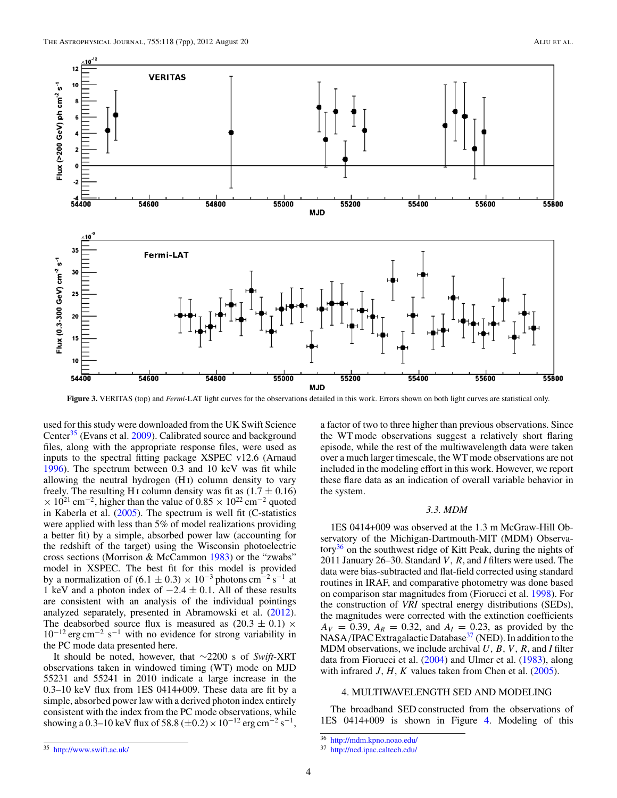<span id="page-4-0"></span>

**Figure 3.** VERITAS (top) and *Fermi*-LAT light curves for the observations detailed in this work. Errors shown on both light curves are statistical only.

used for this study were downloaded from the UK Swift Science Center<sup>35</sup> (Evans et al. [2009\)](#page-7-0). Calibrated source and background files, along with the appropriate response files, were used as inputs to the spectral fitting package XSPEC v12.6 (Arnaud [1996\)](#page-7-0). The spectrum between 0.3 and 10 keV was fit while allowing the neutral hydrogen (H i) column density to vary freely. The resulting H<sub>I</sub> column density was fit as  $(1.7 \pm 0.16)$  $\times$  10<sup>21</sup> cm<sup>-2</sup>, higher than the value of 0.85  $\times$  10<sup>22</sup> cm<sup>-2</sup> quoted in Kaberla et al. [\(2005\)](#page-7-0). The spectrum is well fit (C-statistics were applied with less than 5% of model realizations providing a better fit) by a simple, absorbed power law (accounting for the redshift of the target) using the Wisconsin photoelectric cross sections (Morrison & McCammon [1983\)](#page-7-0) or the "zwabs" model in XSPEC. The best fit for this model is provided by a normalization of  $(6.1 \pm 0.3) \times 10^{-3}$  photons cm<sup>-2</sup> s<sup>-1</sup> at 1 keV and a photon index of −2*.*4 ± 0*.*1. All of these results are consistent with an analysis of the individual pointings analyzed separately, presented in Abramowski et al. [\(2012\)](#page-7-0). The deabsorbed source flux is measured as  $(20.3 \pm 0.1) \times$  $10^{-12}$  erg cm<sup>-2</sup> s<sup>-1</sup> with no evidence for strong variability in the PC mode data presented here.

It should be noted, however, that ∼2200 s of *Swift*-XRT observations taken in windowed timing (WT) mode on MJD 55231 and 55241 in 2010 indicate a large increase in the 0.3–10 keV flux from 1ES 0414+009. These data are fit by a simple, absorbed power law with a derived photon index entirely consistent with the index from the PC mode observations, while showing a 0.3–10 keV flux of 58.8 ( $\pm$ 0.2) × 10<sup>-12</sup> erg cm<sup>-2</sup> s<sup>-1</sup>,

<sup>35</sup> <http://www.swift.ac.uk/>

a factor of two to three higher than previous observations. Since the WT mode observations suggest a relatively short flaring episode, while the rest of the multiwavelength data were taken over a much larger timescale, the WT mode observations are not included in the modeling effort in this work. However, we report these flare data as an indication of overall variable behavior in the system.

#### *3.3. MDM*

1ES 0414+009 was observed at the 1.3 m McGraw-Hill Observatory of the Michigan-Dartmouth-MIT (MDM) Observatory<sup>36</sup> on the southwest ridge of Kitt Peak, during the nights of 2011 January 26–30. Standard *V*, *R*, and *I* filters were used. The data were bias-subtracted and flat-field corrected using standard routines in IRAF, and comparative photometry was done based on comparison star magnitudes from (Fiorucci et al. [1998\)](#page-7-0). For the construction of *VRI* spectral energy distributions (SEDs), the magnitudes were corrected with the extinction coefficients  $A_V = 0.39$ ,  $A_R = 0.32$ , and  $A_I = 0.23$ , as provided by the NASA/IPAC Extragalactic Database<sup>37</sup> (NED). In addition to the MDM observations, we include archival *U,B,V,R*, and *I* filter data from Fiorucci et al. [\(2004\)](#page-7-0) and Ulmer et al. [\(1983\)](#page-7-0), along with infrared *J, H, K* values taken from Chen et al. [\(2005\)](#page-7-0).

## 4. MULTIWAVELENGTH SED AND MODELING

The broadband SED constructed from the observations of 1ES 0414+009 is shown in Figure [4.](#page-5-0) Modeling of this

<sup>36</sup> <http://mdm.kpno.noao.edu/>

<sup>37</sup> <http://ned.ipac.caltech.edu/>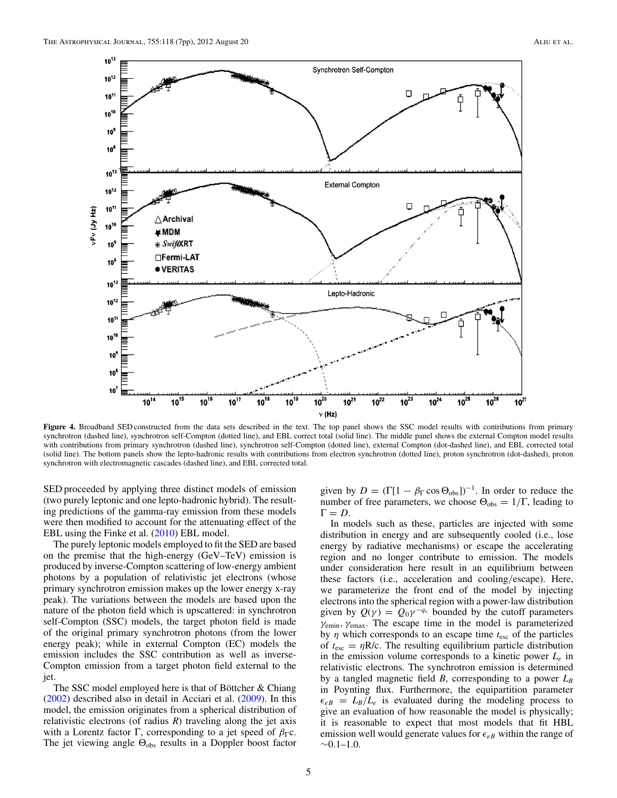<span id="page-5-0"></span>

**Figure 4.** Broadband SED constructed from the data sets described in the text. The top panel shows the SSC model results with contributions from primary synchrotron (dashed line), synchrotron self-Compton (dotted line), and EBL correct total (solid line). The middle panel shows the external Compton model results with contributions from primary synchrotron (dashed line), synchrotron self-Compton (dotted line), external Compton (dot-dashed line), and EBL corrected total (solid line). The bottom panels show the lepto-hadronic results with contributions from electron synchrotron (dotted line), proton synchrotron (dot-dashed), proton synchrotron with electromagnetic cascades (dashed line), and EBL corrected total.

SED proceeded by applying three distinct models of emission (two purely leptonic and one lepto-hadronic hybrid). The resulting predictions of the gamma-ray emission from these models were then modified to account for the attenuating effect of the EBL using the Finke et al. [\(2010\)](#page-7-0) EBL model.

The purely leptonic models employed to fit the SED are based on the premise that the high-energy (GeV–TeV) emission is produced by inverse-Compton scattering of low-energy ambient photons by a population of relativistic jet electrons (whose primary synchrotron emission makes up the lower energy x-ray peak). The variations between the models are based upon the nature of the photon field which is upscattered: in synchrotron self-Compton (SSC) models, the target photon field is made of the original primary synchrotron photons (from the lower energy peak); while in external Compton (EC) models the emission includes the SSC contribution as well as inverse-Compton emission from a target photon field external to the jet.

The SSC model employed here is that of Böttcher  $&$  Chiang [\(2002\)](#page-7-0) described also in detail in Acciari et al. [\(2009\)](#page-7-0). In this model, the emission originates from a spherical distribution of relativistic electrons (of radius *R*) traveling along the jet axis with a Lorentz factor  $\Gamma$ , corresponding to a jet speed of  $\beta_{\Gamma}$ c. The jet viewing angle  $\Theta_{obs}$  results in a Doppler boost factor

given by  $D = (\Gamma[1 - \beta_{\Gamma} \cos \Theta_{obs}])^{-1}$ . In order to reduce the number of free parameters, we choose  $\Theta_{obs} = 1/\Gamma$ , leading to  $\Gamma = D$ .

In models such as these, particles are injected with some distribution in energy and are subsequently cooled (i.e., lose energy by radiative mechanisms) or escape the accelerating region and no longer contribute to emission. The models under consideration here result in an equilibrium between these factors (i.e., acceleration and cooling*/*escape). Here, we parameterize the front end of the model by injecting electrons into the spherical region with a power-law distribution given by  $Q(\gamma) = Q_0 \gamma^{-q_e}$  bounded by the cutoff parameters *γ*emin*, γ*emax. The escape time in the model is parameterized by *η* which corresponds to an escape time *t*esc of the particles of  $t_{\text{esc}} = \eta R/c$ . The resulting equilibrium particle distribution in the emission volume corresponds to a kinetic power *Le* in relativistic electrons. The synchrotron emission is determined by a tangled magnetic field *B*, corresponding to a power  $L_B$ in Poynting flux. Furthermore, the equipartition parameter  $\epsilon_{eB} = L_B/L_e$  is evaluated during the modeling process to give an evaluation of how reasonable the model is physically; it is reasonable to expect that most models that fit HBL emission well would generate values for  $\epsilon_{eB}$  within the range of  $~0.1-1.0.$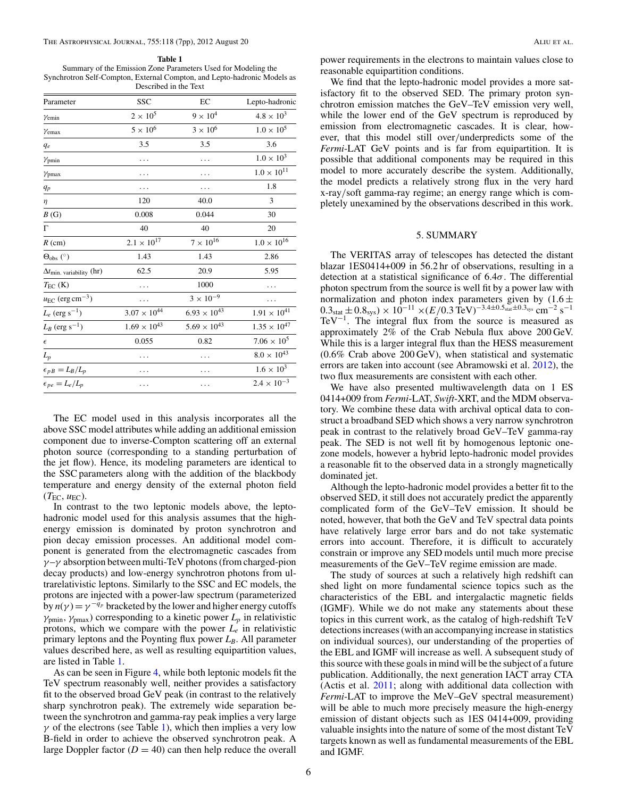#### The Astrophysical Journal, 755:118 (7pp), 2012 August 20 Aliu et al. Aliu et al.

#### **Table 1**

Summary of the Emission Zone Parameters Used for Modeling the Synchrotron Self-Compton, External Compton, and Lepto-hadronic Models as Described in the Text

| Parameter                                   | <b>SSC</b>            | EC                    | Lepto-hadronic        |
|---------------------------------------------|-----------------------|-----------------------|-----------------------|
| $\gamma$ <sub>emin</sub>                    | $2\times10^5$         | $9 \times 10^4$       | $4.8 \times 10^{3}$   |
| $\gamma$ <sub>emax</sub>                    | $5\times10^6$         | $3\times10^6$         | $1.0 \times 10^{5}$   |
| $q_e$                                       | 3.5                   | 3.5                   | 3.6                   |
| $\gamma_{pmin}$                             | .                     | .                     | $1.0 \times 10^{3}$   |
| $\gamma_{\text{pmax}}$                      |                       |                       | $1.0 \times 10^{11}$  |
| $q_p$                                       |                       |                       | 1.8                   |
| $\eta$                                      | 120                   | 40.0                  | 3                     |
| B(G)                                        | 0.008                 | 0.044                 | 30                    |
| $\Gamma$                                    | 40                    | 40                    | 20                    |
| $R$ (cm)                                    | $2.1 \times 10^{17}$  | $7\times10^{16}$      | $1.0\times10^{16}$    |
| $\Theta_{\rm obs}$ (°)                      | 1.43                  | 1.43                  | 2.86                  |
| $\Delta t$ <sub>min. variability</sub> (hr) | 62.5                  | 20.9                  | 5.95                  |
| $T_{EC}$ (K)                                |                       | 1000                  |                       |
| $u_{EC}$ (erg cm <sup>-3</sup> )            |                       | $3\times10^{-9}$      |                       |
| $L_e$ (erg s <sup>-1</sup> )                | $3.07 \times 10^{44}$ | $6.93 \times 10^{43}$ | $1.91 \times 10^{41}$ |
| $L_B$ (erg s <sup>-1</sup> )                | $1.69 \times 10^{43}$ | $5.69 \times 10^{43}$ | $1.35 \times 10^{47}$ |
| $\epsilon$                                  | 0.055                 | 0.82                  | $7.06 \times 10^{5}$  |
| $L_p$                                       |                       |                       | $8.0\times10^{43}$    |
| $\epsilon_{pB}=L_B/L_p$                     |                       |                       | $1.6 \times 10^{3}$   |
| $\epsilon_{pe} = L_e/L_p$                   |                       |                       | $2.4 \times 10^{-3}$  |

The EC model used in this analysis incorporates all the above SSC model attributes while adding an additional emission component due to inverse-Compton scattering off an external photon source (corresponding to a standing perturbation of the jet flow). Hence, its modeling parameters are identical to the SSC parameters along with the addition of the blackbody temperature and energy density of the external photon field  $(T_{\text{EC}}, u_{\text{EC}})$ .

In contrast to the two leptonic models above, the leptohadronic model used for this analysis assumes that the highenergy emission is dominated by proton synchrotron and pion decay emission processes. An additional model component is generated from the electromagnetic cascades from *γ* –*γ* absorption between multi-TeV photons (from charged-pion decay products) and low-energy synchrotron photons from ultrarelativistic leptons. Similarly to the SSC and EC models, the protons are injected with a power-law spectrum (parameterized by  $n(\gamma) = \gamma^{-q_p}$  bracketed by the lower and higher energy cutoffs  $\gamma_{pmin}$ ,  $\gamma_{pmax}$ ) corresponding to a kinetic power  $L_p$  in relativistic protons, which we compare with the power *Le* in relativistic primary leptons and the Poynting flux power  $L_B$ . All parameter values described here, as well as resulting equipartition values, are listed in Table 1.

As can be seen in Figure [4,](#page-5-0) while both leptonic models fit the TeV spectrum reasonably well, neither provides a satisfactory fit to the observed broad GeV peak (in contrast to the relatively sharp synchrotron peak). The extremely wide separation between the synchrotron and gamma-ray peak implies a very large  $\gamma$  of the electrons (see Table 1), which then implies a very low B-field in order to achieve the observed synchrotron peak. A large Doppler factor  $(D = 40)$  can then help reduce the overall

power requirements in the electrons to maintain values close to reasonable equipartition conditions.

We find that the lepto-hadronic model provides a more satisfactory fit to the observed SED. The primary proton synchrotron emission matches the GeV–TeV emission very well, while the lower end of the GeV spectrum is reproduced by emission from electromagnetic cascades. It is clear, however, that this model still over*/*underpredicts some of the *Fermi*-LAT GeV points and is far from equipartition. It is possible that additional components may be required in this model to more accurately describe the system. Additionally, the model predicts a relatively strong flux in the very hard x-ray*/*soft gamma-ray regime; an energy range which is completely unexamined by the observations described in this work.

#### 5. SUMMARY

The VERITAS array of telescopes has detected the distant blazar 1ES0414+009 in 56.2 hr of observations, resulting in a detection at a statistical significance of 6.4*σ*. The differential photon spectrum from the source is well fit by a power law with normalization and photon index parameters given by  $(1.6 \pm$  $0.3<sub>stat</sub> \pm 0.8<sub>sys</sub> \times 10<sup>-11</sup> \times (E/0.3 \text{ TeV})<sup>-3.4\pm0.5<sub>stat</sub> \pm 0.3<sub>sys</sub> \text{ cm}<sup>-2</sup> \text{ s}<sup>-1</sup></sup>$ TeV<sup>-1</sup>. The integral flux from the source is measured as approximately 2% of the Crab Nebula flux above 200 GeV. While this is a larger integral flux than the HESS measurement (0.6% Crab above 200 GeV), when statistical and systematic errors are taken into account (see Abramowski et al. [2012\)](#page-7-0), the two flux measurements are consistent with each other.

We have also presented multiwavelength data on 1 ES 0414+009 from *Fermi*-LAT, *Swift*-XRT, and the MDM observatory. We combine these data with archival optical data to construct a broadband SED which shows a very narrow synchrotron peak in contrast to the relatively broad GeV–TeV gamma-ray peak. The SED is not well fit by homogenous leptonic onezone models, however a hybrid lepto-hadronic model provides a reasonable fit to the observed data in a strongly magnetically dominated jet.

Although the lepto-hadronic model provides a better fit to the observed SED, it still does not accurately predict the apparently complicated form of the GeV–TeV emission. It should be noted, however, that both the GeV and TeV spectral data points have relatively large error bars and do not take systematic errors into account. Therefore, it is difficult to accurately constrain or improve any SED models until much more precise measurements of the GeV–TeV regime emission are made.

The study of sources at such a relatively high redshift can shed light on more fundamental science topics such as the characteristics of the EBL and intergalactic magnetic fields (IGMF). While we do not make any statements about these topics in this current work, as the catalog of high-redshift TeV detections increases (with an accompanying increase in statistics on individual sources), our understanding of the properties of the EBL and IGMF will increase as well. A subsequent study of this source with these goals in mind will be the subject of a future publication. Additionally, the next generation IACT array CTA (Actis et al. [2011;](#page-7-0) along with additional data collection with *Fermi*-LAT to improve the MeV–GeV spectral measurement) will be able to much more precisely measure the high-energy emission of distant objects such as 1ES 0414+009, providing valuable insights into the nature of some of the most distant TeV targets known as well as fundamental measurements of the EBL and IGMF.